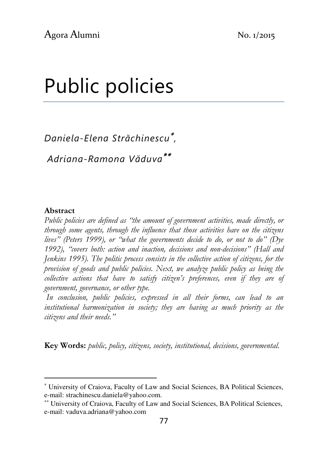# Public policies

Daniela-Elena Străchinescu<sup>∗</sup> ,

Adriana-Ramona Văduva∗∗

#### Abstract

l

Public policies are defined as "the amount of government activities, made directly, or through some agents, through the influence that those activities have on the citizens lives" (Peters 1999), or "what the governments decide to do, or not to do" (Dye 1992), "covers both: action and inaction, decisions and non-decisions" (Hall and Jenkins 1995). The politic process consists in the collective action of citizens, for the provision of goods and public policies. Next, we analyze public policy as being the collective actions that have to satisfy citizen's preferences, even if they are of government, governance, or other type.

 In conclusion, public policies, expressed in all their forms, can lead to an institutional harmonization in society; they are having as much priority as the citizens and their needs."

Key Words: public, policy, citizens, society, institutional, decisions, governmental.

<sup>∗</sup> University of Craiova, Faculty of Law and Social Sciences, BA Political Sciences, e-mail: strachinescu.daniela@yahoo.com.

<sup>∗∗</sup> University of Craiova, Faculty of Law and Social Sciences, BA Political Sciences, e-mail: vaduva.adriana@yahoo.com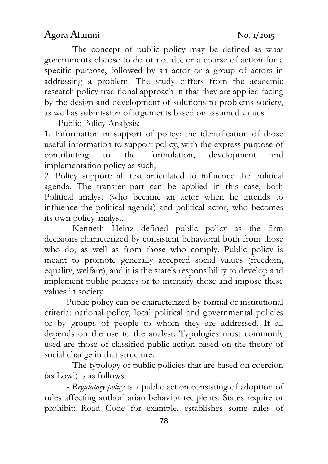The concept of public policy may be defined as what governments choose to do or not do, or a course of action for a specific purpose, followed by an actor or a group of actors in addressing a problem. The study differs from the academic research policy traditional approach in that they are applied facing by the design and development of solutions to problems society, as well as submission of arguments based on assumed values.

Public Policy Analysis:

1. Information in support of policy: the identification of those useful information to support policy, with the express purpose of contributing to the formulation, development and implementation policy as such;

2. Policy support: all test articulated to influence the political agenda. The transfer part can be applied in this case, both Political analyst (who became an actor when he intends to influence the political agenda) and political actor, who becomes its own policy analyst.

Kenneth Heinz defined public policy as the firm decisions characterized by consistent behavioral both from those who do, as well as from those who comply. Public policy is meant to promote generally accepted social values (freedom, equality, welfare), and it is the state's responsibility to develop and implement public policies or to intensify those and impose these values in society.

Public policy can be characterized by formal or institutional criteria: national policy, local political and governmental policies or by groups of people to whom they are addressed. It all depends on the use to the analyst. Typologies most commonly used are those of classified public action based on the theory of social change in that structure.

The typology of public policies that are based on coercion (as Lowi) is as follows:

- Regulatory policy is a public action consisting of adoption of rules affecting authoritarian behavior recipients. States require or prohibit: Road Code for example, establishes some rules of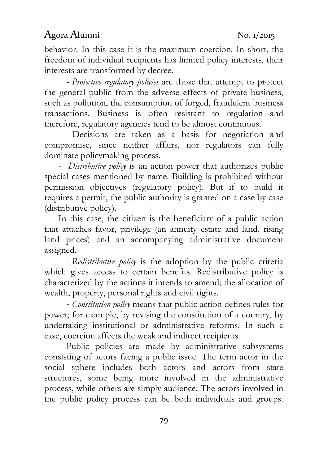behavior. In this case it is the maximum coercion. In short, the freedom of individual recipients has limited policy interests, their interests are transformed by decree.

- Protective regulatory policies are those that attempt to protect the general public from the adverse effects of private business, such as pollution, the consumption of forged, fraudulent business transactions. Business is often resistant to regulation and therefore, regulatory agencies tend to be almost continuous.

 Decisions are taken as a basis for negotiation and compromise, since neither affairs, nor regulators can fully dominate policymaking process.

- Distributive policy is an action power that authorizes public special cases mentioned by name. Building is prohibited without permission objectives (regulatory policy). But if to build it requires a permit, the public authority is granted on a case by case (distributive policy).

 In this case, the citizen is the beneficiary of a public action that attaches favor, privilege (an annuity estate and land, rising land prices) and an accompanying administrative document assigned.

- Redistributive policy is the adoption by the public criteria which gives access to certain benefits. Redistributive policy is characterized by the actions it intends to amend; the allocation of wealth, property, personal rights and civil rights.

- Constitution policy means that public action defines rules for power; for example, by revising the constitution of a country, by undertaking institutional or administrative reforms. In such a case, coercion affects the weak and indirect recipients.

Public policies are made by administrative subsystems consisting of actors facing a public issue. The term actor in the social sphere includes both actors and actors from state structures, some being more involved in the administrative process, while others are simply audience. The actors involved in the public policy process can be both individuals and groups.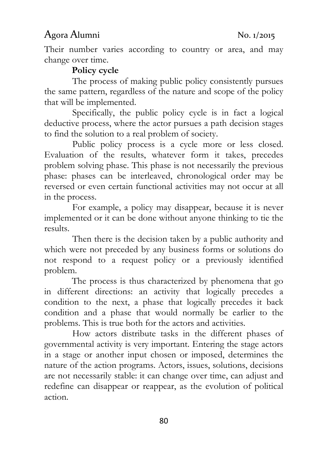Their number varies according to country or area, and may change over time.

### Policy cycle

The process of making public policy consistently pursues the same pattern, regardless of the nature and scope of the policy that will be implemented.

Specifically, the public policy cycle is in fact a logical deductive process, where the actor pursues a path decision stages to find the solution to a real problem of society.

Public policy process is a cycle more or less closed. Evaluation of the results, whatever form it takes, precedes problem solving phase. This phase is not necessarily the previous phase: phases can be interleaved, chronological order may be reversed or even certain functional activities may not occur at all in the process.

For example, a policy may disappear, because it is never implemented or it can be done without anyone thinking to tie the results.

Then there is the decision taken by a public authority and which were not preceded by any business forms or solutions do not respond to a request policy or a previously identified problem.

 The process is thus characterized by phenomena that go in different directions: an activity that logically precedes a condition to the next, a phase that logically precedes it back condition and a phase that would normally be earlier to the problems. This is true both for the actors and activities.

How actors distribute tasks in the different phases of governmental activity is very important. Entering the stage actors in a stage or another input chosen or imposed, determines the nature of the action programs. Actors, issues, solutions, decisions are not necessarily stable: it can change over time, can adjust and redefine can disappear or reappear, as the evolution of political action.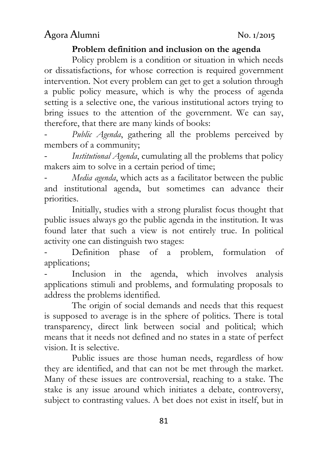#### Problem definition and inclusion on the agenda

 Policy problem is a condition or situation in which needs or dissatisfactions, for whose correction is required government intervention. Not every problem can get to get a solution through a public policy measure, which is why the process of agenda setting is a selective one, the various institutional actors trying to bring issues to the attention of the government. We can say, therefore, that there are many kinds of books:

Public Agenda, gathering all the problems perceived by members of a community;

Institutional Agenda, cumulating all the problems that policy makers aim to solve in a certain period of time;

Media agenda, which acts as a facilitator between the public and institutional agenda, but sometimes can advance their priorities.

 Initially, studies with a strong pluralist focus thought that public issues always go the public agenda in the institution. It was found later that such a view is not entirely true. In political activity one can distinguish two stages:

Definition phase of a problem, formulation of applications;

Inclusion in the agenda, which involves analysis applications stimuli and problems, and formulating proposals to address the problems identified.

 The origin of social demands and needs that this request is supposed to average is in the sphere of politics. There is total transparency, direct link between social and political; which means that it needs not defined and no states in a state of perfect vision. It is selective.

 Public issues are those human needs, regardless of how they are identified, and that can not be met through the market. Many of these issues are controversial, reaching to a stake. The stake is any issue around which initiates a debate, controversy, subject to contrasting values. A bet does not exist in itself, but in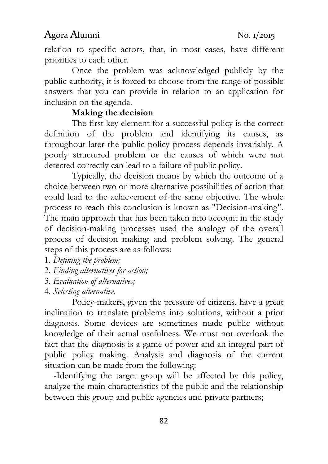relation to specific actors, that, in most cases, have different priorities to each other.

 Once the problem was acknowledged publicly by the public authority, it is forced to choose from the range of possible answers that you can provide in relation to an application for inclusion on the agenda.

#### Making the decision

 The first key element for a successful policy is the correct definition of the problem and identifying its causes, as throughout later the public policy process depends invariably. A poorly structured problem or the causes of which were not detected correctly can lead to a failure of public policy.

 Typically, the decision means by which the outcome of a choice between two or more alternative possibilities of action that could lead to the achievement of the same objective. The whole process to reach this conclusion is known as "Decision-making". The main approach that has been taken into account in the study of decision-making processes used the analogy of the overall process of decision making and problem solving. The general steps of this process are as follows:

1. Defining the problem;

- 2. Finding alternatives for action;
- 3. Evaluation of alternatives;
- 4. Selecting alternative.

 Policy-makers, given the pressure of citizens, have a great inclination to translate problems into solutions, without a prior diagnosis. Some devices are sometimes made public without knowledge of their actual usefulness. We must not overlook the fact that the diagnosis is a game of power and an integral part of public policy making. Analysis and diagnosis of the current situation can be made from the following:

 -Identifying the target group will be affected by this policy, analyze the main characteristics of the public and the relationship between this group and public agencies and private partners;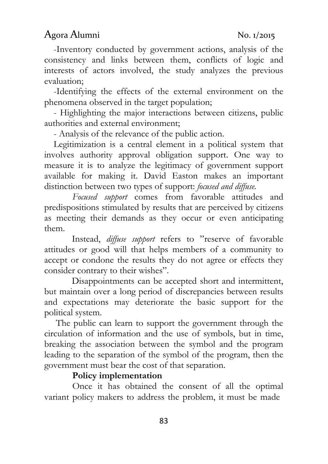-Inventory conducted by government actions, analysis of the consistency and links between them, conflicts of logic and interests of actors involved, the study analyzes the previous evaluation;

 -Identifying the effects of the external environment on the phenomena observed in the target population;

 - Highlighting the major interactions between citizens, public authorities and external environment;

- Analysis of the relevance of the public action.

Legitimization is a central element in a political system that involves authority approval obligation support. One way to measure it is to analyze the legitimacy of government support available for making it. David Easton makes an important distinction between two types of support: *focused and diffuse*.

Focused support comes from favorable attitudes and predispositions stimulated by results that are perceived by citizens as meeting their demands as they occur or even anticipating them.

 Instead, diffuse support refers to "reserve of favorable attitudes or good will that helps members of a community to accept or condone the results they do not agree or effects they consider contrary to their wishes".

 Disappointments can be accepted short and intermittent, but maintain over a long period of discrepancies between results and expectations may deteriorate the basic support for the political system.

 The public can learn to support the government through the circulation of information and the use of symbols, but in time, breaking the association between the symbol and the program leading to the separation of the symbol of the program, then the government must bear the cost of that separation.

#### Policy implementation

Once it has obtained the consent of all the optimal variant policy makers to address the problem, it must be made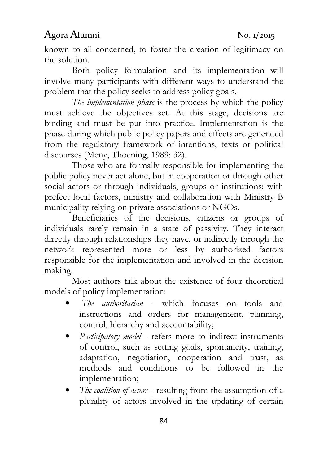known to all concerned, to foster the creation of legitimacy on the solution.

 Both policy formulation and its implementation will involve many participants with different ways to understand the problem that the policy seeks to address policy goals.

The *implementation phase* is the process by which the policy must achieve the objectives set. At this stage, decisions are binding and must be put into practice. Implementation is the phase during which public policy papers and effects are generated from the regulatory framework of intentions, texts or political discourses (Meny, Thoening, 1989: 32).

 Those who are formally responsible for implementing the public policy never act alone, but in cooperation or through other social actors or through individuals, groups or institutions: with prefect local factors, ministry and collaboration with Ministry B municipality relying on private associations or NGOs.

 Beneficiaries of the decisions, citizens or groups of individuals rarely remain in a state of passivity. They interact directly through relationships they have, or indirectly through the network represented more or less by authorized factors responsible for the implementation and involved in the decision making.

 Most authors talk about the existence of four theoretical models of policy implementation:

- The authoritarian which focuses on tools and instructions and orders for management, planning, control, hierarchy and accountability;
- Participatory model refers more to indirect instruments of control, such as setting goals, spontaneity, training, adaptation, negotiation, cooperation and trust, as methods and conditions to be followed in the implementation;
- The coalition of actors resulting from the assumption of a plurality of actors involved in the updating of certain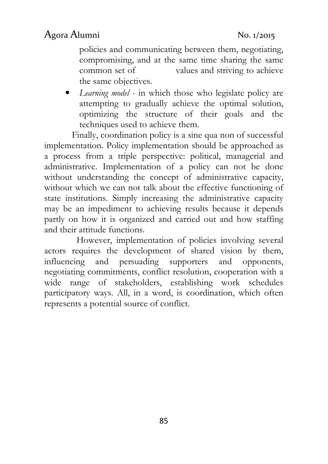policies and communicating between them, negotiating, compromising, and at the same time sharing the same common set of values and striving to achieve the same objectives.

• Learning model - in which those who legislate policy are attempting to gradually achieve the optimal solution, optimizing the structure of their goals and the techniques used to achieve them.

 Finally, coordination policy is a sine qua non of successful implementation. Policy implementation should be approached as a process from a triple perspective: political, managerial and administrative. Implementation of a policy can not be done without understanding the concept of administrative capacity, without which we can not talk about the effective functioning of state institutions. Simply increasing the administrative capacity may be an impediment to achieving results because it depends partly on how it is organized and carried out and how staffing and their attitude functions.

 However, implementation of policies involving several actors requires the development of shared vision by them, influencing and persuading supporters and opponents, negotiating commitments, conflict resolution, cooperation with a wide range of stakeholders, establishing work schedules participatory ways. All, in a word, is coordination, which often represents a potential source of conflict.